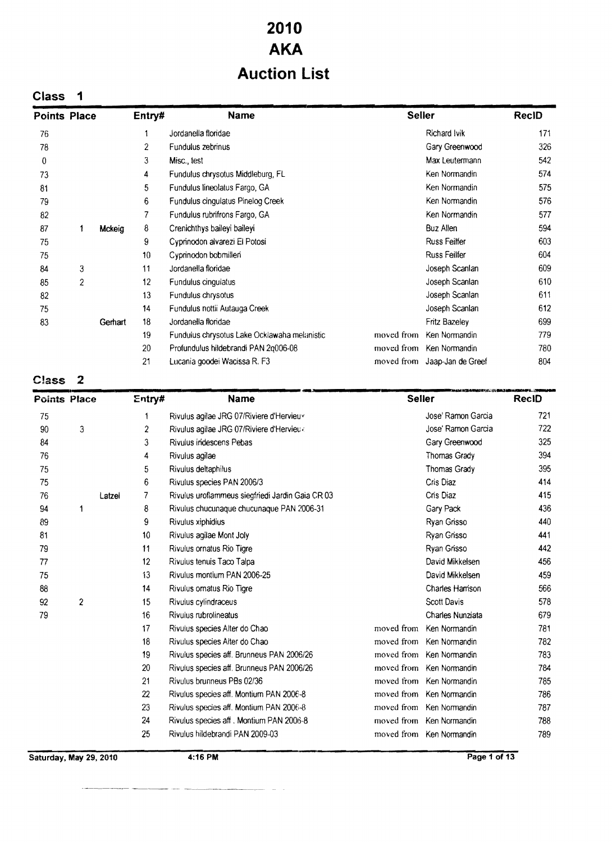# **2010 AKA Auction List**

# **Class** 1

| <b>Points Place</b> |                |         | Entry# | <b>Name</b>                                  | <b>Seller</b> |                              | <b>ReciD</b> |
|---------------------|----------------|---------|--------|----------------------------------------------|---------------|------------------------------|--------------|
| 76                  |                |         |        | Jordanella floridae                          |               | Richard Ivik                 | 171          |
| 78                  |                |         | 2      | Fundulus zebrinus                            |               | Gary Greenwood               | 326          |
| 0                   |                |         | 3      | Misc., test                                  |               | Max Leutermann               | 542          |
| 73                  |                |         | 4      | Fundulus chrysotus Middleburg, FL            |               | Ken Normandin                | 574          |
| 81                  |                |         | 5      | Fundulus lineolatus Fargo, GA                |               | Ken Normandin                | 575          |
| 79                  |                |         | 6      | Fundulus cingulatus Pinelog Creek            |               | Ken Normandin                | 576          |
| 82                  |                |         | 7      | Fundulus rubrifrons Fargo, GA                |               | Ken Normandin                | 577          |
| 87                  | 1              | Mckeig  | 8      | Crenichthys baileyi baileyi                  |               | <b>Buz Allen</b>             | 594          |
| 75                  |                |         | 9      | Cyprinodon alvarezi El Potosi                |               | <b>Russ Feilfer</b>          | 603          |
| 75                  |                |         | 10     | Cyprinodon bobmilleri                        |               | Russ Feilfer                 | 604          |
| 84                  | 3              |         | 11     | Jordanella floridae                          |               | Joseph Scanlan               | 609          |
| 85                  | $\overline{c}$ |         | 12     | Fundulus cingulatus                          |               | Joseph Scanlan               | 610          |
| 82                  |                |         | 13     | Fundulus chrysotus                           |               | Joseph Scanlan               | 611          |
| 75                  |                |         | 14     | Fundulus nottii Autauga Creek                |               | Joseph Scanlan               | 612          |
| 83                  |                | Gerhart | 18     | Jordanella flondae                           |               | Fritz Bazeley                | 699          |
|                     |                |         | 19     | Fundulus chrysotus Lake Ocklawaha melanistic | moved from    | Ken Normandin                | 779          |
|                     |                |         | 20     | Profundulus hildebrandi PAN 2q006-08         | moved from    | Ken Normandin                | 780          |
|                     |                |         | 21     | Lucania goodei Wacissa R. F3                 |               | moved from Jaap-Jan de Greef | 804          |

| Class               |                |        |                  |                                                  |               |                                           |       |
|---------------------|----------------|--------|------------------|--------------------------------------------------|---------------|-------------------------------------------|-------|
| <b>Points Place</b> |                |        | Entry#           | <b>Name</b>                                      | <b>Seller</b> | <b>PKABARASINA YA TELEBEKEEN SHINYABU</b> | RecID |
| 75                  |                |        | 1                | Rivulus agilae JRG 07/Riviere d'Hervieux         |               | Jose' Ramon Garcia                        | 721   |
| 90                  | 3              |        | 2                | Rivulus agilae JRG 07/Riviere d'Hervieux         |               | Jose' Ramon Garcia                        | 722   |
| 84                  |                |        | 3                | Rivulus indescens Pebas                          |               | Gary Greenwood                            | 325   |
| 76                  |                |        | 4                | Rivulus agilae                                   |               | Thomas Grady                              | 394   |
| 75                  |                |        | 5                | Rivulus deltaphilus                              |               | Thomas Grady                              | 395   |
| 75                  |                |        | 6                | Rivulus species PAN 2006/3                       |               | Cris Diaz                                 | 414   |
| 76                  |                | Latzel | 7                | Rivulus uroflammeus siegfriedi Jardin Gaia CR 03 |               | Cris Diaz                                 | 415   |
| 94                  | 1              |        | 8                | Rivulus chucunaque chucunaque PAN 2006-31        |               | Gary Pack                                 | 436   |
| 89                  |                |        | 9                | Rivulus xiphidius                                |               | Ryan Grisso                               | 440   |
| 81                  |                |        | 10 <sup>10</sup> | Rivulus agilae Mont Joly                         |               | Ryan Grisso                               | 441   |
| 79                  |                |        | 11               | Rivulus ornatus Rio Tigre                        |               | Ryan Grisso                               | 442   |
| 77                  |                |        | 12               | Rivulus tenuis Taco Talpa                        |               | David Mikkelsen                           | 456   |
| 75                  |                |        | 13               | Rivulus montium PAN 2006-25                      |               | David Mikkelsen                           | 459   |
| 88                  |                |        | 14               | Rivulus omatus Rio Tigre                         |               | Charles Harrison                          | 566   |
| 92                  | $\overline{2}$ |        | 15               | Rivulus cylindraceus                             |               | Scott Davis                               | 578   |
| 79                  |                |        | 16               | Rivulus rubrolineatus                            |               | Charles Nunziata                          | 679   |
|                     |                |        | 17               | Rivulus species Alter do Chao                    | moved from    | Ken Normandin                             | 781   |
|                     |                |        | 18               | Rivulus species Alter do Chao                    |               | moved from Ken Normandin                  | 782   |
|                     |                |        | 19               | Rivulus species aff. Brunneus PAN 2006/26        |               | moved from Ken Normandin                  | 783   |
|                     |                |        | 20               | Rivulus species aff. Brunneus PAN 2006/26        |               | moved from Ken Normandin                  | 784   |
|                     |                |        | 21               | Rivulus brunneus PBs 02/36                       |               | moved from Ken Normandin                  | 785   |
|                     |                |        | 22               | Rivulus species aff. Montium PAN 2006-8          |               | moved from Ken Normandin                  | 786   |
|                     |                |        | 23               | Rivulus species aff. Montium PAN 2006-8          |               | moved from Ken Normandin                  | 787   |
|                     |                |        | 24               | Rivulus species aff. Montium PAN 2006-8          |               | moved from Ken Normandin                  | 788   |
|                     |                |        | 25               | Rivulus hildebrandi PAN 2009-03                  |               | moved from Ken Normandin                  | 789   |

**Saturday, May 29, 2010 4:16 PM Page 1 of 13** 

~---.-.---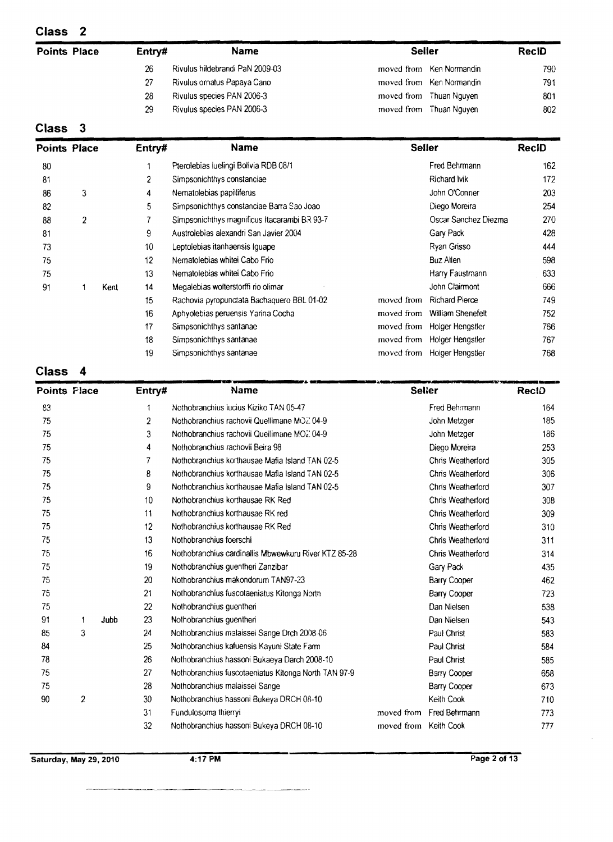| <b>Points Place</b> | Entry# | <b>Name</b>                     | <b>Seller</b>            |     |
|---------------------|--------|---------------------------------|--------------------------|-----|
|                     | 26     | Rivulus hildebrandi PaN 2009-03 | moved from Ken Normandin | 790 |
|                     | 27     | Rivulus ornatus Papaya Cano     | moved from Ken Normandin | 791 |
|                     | 28     | Rivulus species PAN 2006-3      | moved from Thuan Nguyen  | 801 |
|                     | 29     | Rivulus species PAN 2006-3      | moved from Thuan Nguyen  | 802 |
| $-$<br>-            |        |                                 |                          |     |

#### **Class** 3

| <b>Points Place</b> |                |      | Entry# | <b>Name</b>                                  | <b>Seller</b> |                             | <b>RecID</b> |
|---------------------|----------------|------|--------|----------------------------------------------|---------------|-----------------------------|--------------|
| 80                  |                |      |        | Pterolebias luelingi Bolivia RDB 08/1        |               | Fred Behrmann               | 162          |
| 81                  |                |      | 2      | Simpsonichthys constanciae                   |               | Richard Ivik                | 172          |
| 86                  | 3              |      | 4      | Nematolebias papilliferus                    |               | John O'Conner               | 203          |
| 82                  |                |      | 5      | Simpsonichthys constanciae Barra Sao Joao    |               | Diego Moreira               | 254          |
| 88                  | $\overline{2}$ |      | 7      | Simpsonichthys magnificus Itacarambi BR 93-7 |               | Oscar Sanchez Diezma        | 270          |
| 81                  |                |      | 9      | Austrolebias alexandri San Javier 2004       |               | Gary Pack                   | 428          |
| 73                  |                |      | 10     | Leptolebias itanhaensis Iquape               |               | Ryan Grisso                 | 444          |
| 75                  |                |      | 12     | Nematolebias whitei Cabo Frio                |               | <b>Buz Allen</b>            | 598          |
| 75                  |                |      | 13     | Nematolebias whitei Cabo Frio                |               | Harry Faustmann             | 633          |
| 91                  |                | Kent | 14     | Megalebias wolterstorffi rio olimar          |               | John Clairmont              | 666          |
|                     |                |      | 15     | Rachovia pyropunctata Bachaquero BBL 01-02   | moved from    | <b>Richard Pierce</b>       | 749          |
|                     |                |      | 16     | Aphyolebias peruensis Yarina Cocha           | moved from    | <b>William Shenefelt</b>    | 752          |
|                     |                |      | 17     | Simpsonichthys santanae                      | moved from    | Holger Hengstler            | 766          |
|                     |                |      | 18     | Simpsonichthys santanae                      | moved from    | Holger Hengstler            | 767          |
|                     |                |      | 19     | Simpsonichthys santanae                      |               | moved from Holger Hengstler | 768          |

# **Class** 4

| Class<br><b>Points Place</b> | 4              |      | Entry#         | Name                                                 |            | <b>Seller</b>       | ReciD |
|------------------------------|----------------|------|----------------|------------------------------------------------------|------------|---------------------|-------|
| 83                           |                |      | 1              | Nothobranchius Iucius Kiziko TAN 05-47               |            | Fred Behrmann       | 164   |
| 75                           |                |      | $\overline{2}$ | Nothobranchius rachovii Quellimane MOZ 04-9          |            | John Metzger        | 185   |
| 75                           |                |      | 3              | Nothobranchius rachovii Quellimane MO2 04-9          |            | John Metzger        | 186   |
| 75                           |                |      | 4              | Nothobranchius rachovii Beira 98                     |            | Diego Moreira       | 253   |
| 75                           |                |      | 7              | Nothobranchius korthausae Mafia Island TAN 02-5      |            | Chris Weatherford   | 305   |
| 75                           |                |      | 8              | Nothobranchius korthausae Mafia Island TAN 02-5      |            | Chris Weatherford   | 306   |
| 75                           |                |      | 9              | Nothobranchius korthausae Mafia Island TAN 02-5      |            | Chris Weatherford   | 307   |
| 75                           |                |      | 10             | Nothobranchius korthausae RK Red                     |            | Chris Weatherford   | 308   |
| 75                           |                |      | 11             | Nothobranchius korthausae RK red                     |            | Chris Weatherford   | 309   |
| 75                           |                |      | 12             | Nothobranchius korthausae RK Red                     |            | Chris Weatherford   | 310   |
| 75                           |                |      | 13             | Nothobranchius foerschi                              |            | Chris Weatherford   | 311   |
| 75                           |                |      | 16             | Nothobranchius cardinallis Mbwewkuru River KTZ 85-28 |            | Chris Weatherford   | 314   |
| 75                           |                |      | 19             | Nothobranchius guentheri Zanzibar                    |            | Gary Pack           | 435   |
| 75                           |                |      | 20             | Nothobranchius makondorum TAN97-23                   |            | <b>Barry Cooper</b> | 462   |
| 75                           |                |      | 21             | Nothobranchius fuscotaeniatus Kitonga North          |            | <b>Barry Cooper</b> | 723   |
| 75                           |                |      | 22             | Nothobranchius guenthen                              |            | Dan Nielsen         | 538   |
| 91                           | 1              | Jubb | 23             | Nothobranchius guentheri                             |            | Dan Nielsen         | 543   |
| 85                           | 3              |      | 24             | Nothobranchius malaissei Sange Drch 2008-06          |            | Paul Christ         | 583   |
| 84                           |                |      | 25             | Nothobranchius kafuensis Kayuni State Farm           |            | Paul Christ         | 584   |
| 78                           |                |      | 26             | Nothobranchius hassoni Bukaeya Darch 2008-10         |            | Paul Christ         | 585   |
| 75                           |                |      | 27             | Nothobranchius fuscotaeniatus Kitonga North TAN 97-9 |            | Barry Cooper        | 658   |
| 75                           |                |      | 28             | Nothobranchius malaissei Sange                       |            | Barry Cooper        | 673   |
| 90                           | $\overline{2}$ |      | 30             | Nothobranchius hassoni Bukeya DRCH 08-10             |            | Keith Cook          | 710   |
|                              |                |      | 31             | Fundulosoma thierryi                                 | moved from | Fred Behrmann       | 773   |
|                              |                |      | 32             | Nothobranchius hassoni Bukeya DRCH 08-10             | moved from | Keith Cook          | 777   |
|                              |                |      |                |                                                      |            |                     |       |

**Saturday, May** 29, **2010 4:17 PM Page 2 of 13**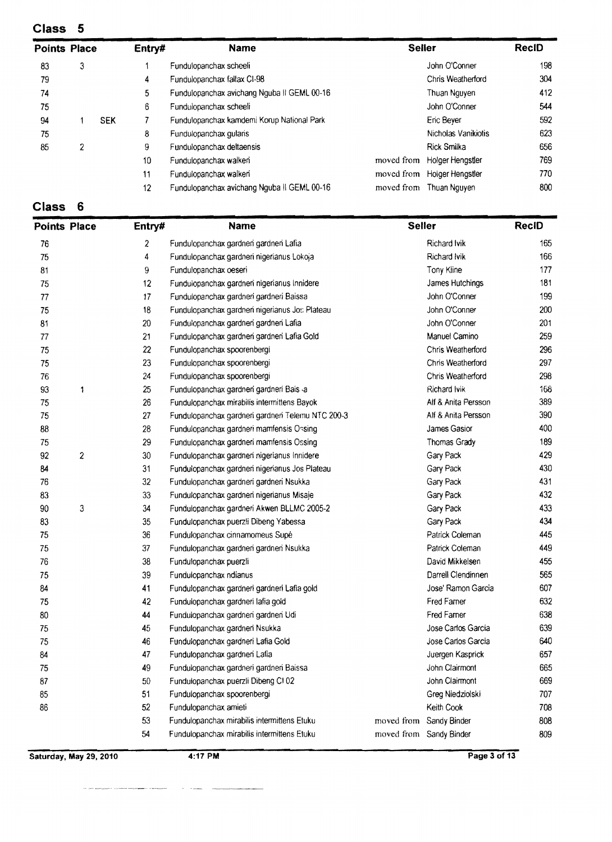| <b>Points Place</b> |   |            | Entry# | <b>Name</b>                                 | <b>Seiler</b> |                     | <b>RecID</b> |
|---------------------|---|------------|--------|---------------------------------------------|---------------|---------------------|--------------|
| 83                  | 3 |            |        | Fundulopanchax scheeli                      |               | John O'Conner       | 198          |
| 79                  |   |            | 4      | Fundulopanchax fallax CI-98                 |               | Chris Weatherford   | 304          |
| 74                  |   |            | 5      | Fundulopanchax avichang Nguba II GEML 00-16 |               | Thuan Nguyen        | 412          |
| 75                  |   |            | 6      | Fundulopanchax scheeli                      |               | John O'Conner       | 544          |
| 94                  |   | <b>SEK</b> |        | Fundulopanchax kamdemi Korup National Park  |               | Eric Beyer          | 592          |
| 75                  |   |            | 8      | Fundulopanchax quians                       |               | Nicholas Vanikiotis | 623          |
| 85                  | 2 |            | 9      | Fundulopanchax deltaensis                   |               | Rick Smilka         | 656          |
|                     |   |            | 10     | Fundulopanchax walken                       | moved from    | Holger Hengstler    | 769          |
|                     |   |            | 11     | Fundulopanchax walken                       | moved from    | Holger Hengstler    | 770          |
|                     |   |            | 12     | Fundulopanchax avichang Nguba II GEML 00-16 | moved from    | Thuan Nguyen        | 800          |

# **Class** 6

| <b>Points Place</b> |                  | Entry# | <b>Name</b>                                       | <b>Seller</b> |                         | <b>RecID</b> |
|---------------------|------------------|--------|---------------------------------------------------|---------------|-------------------------|--------------|
| 76                  |                  | 2      | Fundulopanchax gardnen gardnen Lafia              |               | <b>Richard Ivik</b>     | 165          |
| 75                  |                  | 4      | Fundulopanchax gardneri nigerianus Lokoja         |               | Richard Ivik            | 166          |
| 81                  |                  | 9      | Fundulopanchax oeseri                             |               | Tony Kline              | 177          |
| 75                  |                  | 12     | Fundulopanchax gardnen nigerianus Innidere        |               | James Hutchings         | 181          |
| 77                  |                  | 17     | Fundulopanchax gardneri gardneri Baissa           |               | John O'Conner           | 199          |
| 75                  |                  | 18     | Fundulopanchax gardnen nigerianus Jos Plateau     |               | John O'Conner           | 200          |
| 81                  |                  | 20     | Fundulopanchax gardnen gardnen Lafia              |               | John O'Conner           | 201          |
| 77                  |                  | 21     | Fundulopanchax gardnen gardnen Lafia Gold         |               | Manuel Camino           | 259          |
| 75                  |                  | 22     | Fundulopanchax spoorenbergi                       |               | Chris Weatherford       | 296          |
| 75                  |                  | 23     | Fundulopanchax spoorenbergi                       |               | Chris Weatherford       | 297          |
| 76                  |                  | 24     | Fundulopanchax spoorenbergi                       |               | Chris Weatherford       | 298          |
| 93                  | 1                | 25     | Fundulopanchax gardneri gardneri Bais a           |               | Richard Ivik            | 168          |
| 75                  |                  | 26     | Fundulopanchax mirabilis intermittens Bayok       |               | Alf & Anita Persson     | 389          |
| 75                  |                  | 27     | Fundulopanchax gardneri gardneri Telemu NTC 200-3 |               | Alf & Anita Persson     | 390          |
| 88                  |                  | 28     | Fundulopanchax gardneri mamfensis Ossing          |               | James Gasior            | 400          |
| 75                  |                  | 29     | Fundulopanchax gardneri mamfensis Ossing          |               | Thomas Grady            | 189          |
| 92                  | $\boldsymbol{2}$ | 30     | Fundulopanchax gardneri nigerianus Innidere       |               | Gary Pack               | 429          |
| 84                  |                  | 31     | Fundulopanchax gardneri nigerianus Jos Plateau    |               | Gary Pack               | 430          |
| 76                  |                  | 32     | Fundulopanchax gardneri gardneri Nsukka           |               | Gary Pack               | 431          |
| 83                  |                  | 33     | Fundulopanchax gardnen nigerianus Misaje          |               | Gary Pack               | 432          |
| $90\,$              | 3                | 34     | Fundulopanchax gardneri Akwen BLLMC 2005-2        |               | Gary Pack               | 433          |
| 83                  |                  | 35     | Fundulopanchax puerzli Dibeng Yabessa             |               | Gary Pack               | 434          |
| 75                  |                  | 36     | Fundulopanchax cinnamomeus Supé                   |               | Patrick Coleman         | 445          |
| 75                  |                  | 37     | Fundulopanchax gardneri gardneri Nsukka           |               | Patrick Coleman         | 449          |
| 76                  |                  | 38     | Fundulopanchax puerzli                            |               | David Mikkelsen         | 455          |
| 75                  |                  | 39     | Fundulopanchax ndianus                            |               | Darrell Clendinnen      | 565          |
| 84                  |                  | 41     | Fundulopanchax gardneri gardneri Lafia gold       |               | Jose' Ramon Garcia      | 607          |
| 75                  |                  | 42     | Fundulopanchax gardneri lafia gold                |               | Fred Famer              | 632          |
| 80                  |                  | 44     | Fundulopanchax gardneri gardneri Udi              |               | Fred Famer              | 638          |
| 75                  |                  | 45     | Fundulopanchax gardneri Nsukka                    |               | Jose Carlos Garcia      | 639          |
| 75                  |                  | 46     | Fundulopanchax gardneri Lafia Gold                |               | Jose Carlos Garcia      | 640          |
| 84                  |                  | 47     | Fundulopanchax gardneri Lafia                     |               | Juergen Kasprick        | 657          |
| 75                  |                  | 49     | Fundulopanchax gardneri gardneri Baissa           |               | John Clairmont          | 665          |
| 87                  |                  | 50     | Fundulopanchax puerzli Dibeng CI 02               |               | John Clairmont          | 669          |
| 85                  |                  | 51     | Fundulopanchax spoorenbergi                       |               | Greg Niedziolski        | 707          |
| 86                  |                  | 52     | Fundulopanchax amieti                             |               | Keith Cook              | 708          |
|                     |                  | 53     | Fundulopanchax mirabilis intermittens Etuku       |               | moved from Sandy Binder | 808          |
|                     |                  | 54     | Fundulopanchax mirabilis intermittens Etuku       |               | moved from Sandy Binder | 809          |
|                     |                  |        |                                                   |               |                         |              |

**Saturday, May 29, 2010 4:17 PM Page 3 of 13** 

 $\sim$ 

 $\label{eq:3} \mathcal{L} = \mathcal{L} \mathcal{L} \mathcal{L} \mathcal{L} \mathcal{L} \mathcal{L} \mathcal{L} \mathcal{L} \mathcal{L} \mathcal{L} \mathcal{L} \mathcal{L} \mathcal{L} \mathcal{L} \mathcal{L} \mathcal{L} \mathcal{L} \mathcal{L} \mathcal{L} \mathcal{L} \mathcal{L} \mathcal{L} \mathcal{L} \mathcal{L} \mathcal{L} \mathcal{L} \mathcal{L} \mathcal{L} \mathcal{L} \mathcal{L} \mathcal{L} \mathcal{L} \mathcal{L} \mathcal{L} \math$ 

..----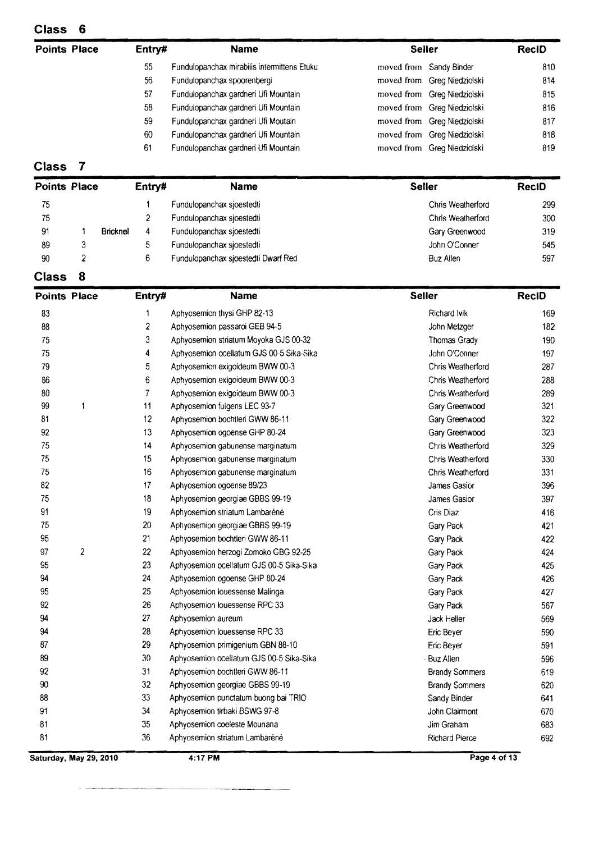| <b>Points Place</b> |                |          | Entry#         | <b>Name</b>                                 | <b>Seller</b>               | <b>RecID</b> |
|---------------------|----------------|----------|----------------|---------------------------------------------|-----------------------------|--------------|
|                     |                |          | 55             | Fundulopanchax mirabilis intermittens Etuku | moved from Sandy Binder     | 810          |
|                     |                |          | 56             | Fundulopanchax spoorenbergi                 | moved from Greg Niedziolski | 814          |
|                     |                |          | 57             | Fundulopanchax gardneri Ufi Mountain        | moved from Greg Niedziolski | 815          |
|                     |                |          | 58             | Fundulopanchax gardnen Ufi Mountain         | moved from Greg Niedziolski | 816          |
|                     |                |          | 59             | Fundulopanchax gardneri Ufi Moutain         | moved from Greg Niedziolski | 817          |
|                     |                |          | 60             | Fundulopanchax gardnen Ufi Mountain         | moved from Greg Niedziolski | 818          |
|                     |                |          | 61             | Fundulopanchax gardnen Ufi Mountain         | moved from Greg Niedziolski | 819          |
| <b>Class</b>        |                |          |                |                                             |                             |              |
| <b>Points Place</b> |                |          | Entry#         | Name                                        | <b>Seller</b>               | <b>RecID</b> |
| 75                  |                |          |                | Fundulopanchax sjoestedti                   | Chris Weatherford           | 299          |
| 75                  |                |          | $\overline{2}$ | Fundulopanchax sjoestedti                   | Chris Weatherford           | 300          |
| 91                  |                | Bricknel | 4              | Fundulopanchax sioestedti                   | Gary Greenwood              | 319          |
| 89                  | 3              |          | 5              | Fundulopanchax sjoestedti                   | John O'Conner               | 545          |
| 90                  | $\overline{2}$ |          | 6              | Fundulopanchax sjoestedti Dwarf Red         | Buz Allen                   | 597          |
| <b>Class</b>        | 8              |          |                |                                             |                             |              |

| כנסוט               |                |                  |                                          |                       |              |
|---------------------|----------------|------------------|------------------------------------------|-----------------------|--------------|
| <b>Points Place</b> |                | Entry#           | <b>Name</b>                              | <b>Seller</b>         | <b>RecID</b> |
| 83                  |                | 1                | Aphyosemion thysi GHP 82-13              | Richard Ivik          | 169          |
| 88                  |                | $\boldsymbol{2}$ | Aphyosemion passaroi GEB 94-5            | John Metzger          | 182          |
| 75                  |                | 3                | Aphyosemion striatum Moyoka GJS 00-32    | Thomas Grady          | 190          |
| 75                  |                | 4                | Aphyosemion ocellatum GJS 00-5 Sika-Sika | John O'Conner         | 197          |
| 79                  |                | 5                | Aphyosemion exigoideum BWW 00-3          | Chris Weatherford     | 287          |
| 86                  |                | 6                | Aphyosemion exigoideum BWW 00-3          | Chris Weatherford     | 288          |
| 80                  |                | 7                | Aphyosemion exigoideum BWW 00-3          | Chris Weatherford     | 289          |
| 99                  | $\mathbf{1}$   | 11               | Aphyosemion fulgens LEC 93-7             | Gary Greenwood        | 321          |
| 81                  |                | 12               | Aphyosemion bochtleri GWW 86-11          | Gary Greenwood        | 322          |
| 92                  |                | 13               | Aphyosemion ogoense GHP 80-24            | Gary Greenwood        | 323          |
| 75                  |                | 14               | Aphyosemion gabunense marginatum         | Chris Weatherford     | 329          |
| 75                  |                | 15               | Aphyosemion gabunense marginatum         | Chris Weatherford     | 330          |
| 75                  |                | 16               | Aphyosemion gabunense marginatum         | Chris Weatherford     | 331          |
| 82                  |                | 17               | Aphyosemion ogoense 89/23                | James Gasior          | 396          |
| 75                  |                | 18               | Aphyosemion georgiae GBBS 99-19          | James Gasior          | 397          |
| 91                  |                | 19               | Aphyosemion striatum Lambaréné           | Cris Diaz             | 416          |
| 75                  |                | 20               | Aphyosemion georgiae GBBS 99-19          | Gary Pack             | 421          |
| 95                  |                | 21               | Aphyosemion bochtleri GWW 86-11          | Gary Pack             | 422          |
| 97                  | $\overline{2}$ | 22               | Aphyosemion herzogi Zomoko GBG 92-25     | Gary Pack             | 424          |
| 95                  |                | 23               | Aphyosemion ocellatum GJS 00-5 Sika-Sika | Gary Pack             | 425          |
| 94                  |                | 24               | Aphyosemion ogoense GHP 80-24            | Gary Pack             | 426          |
| 95                  |                | 25               | Aphyosemion iouessense Malinga           | Gary Pack             | 427          |
| 92                  |                | 26               | Aphyosemion louessense RPC 33            | Gary Pack             | 567          |
| 94                  |                | 27               | Aphyosemion aureum                       | Jack Heller           | 569          |
| 94                  |                | 28               | Aphyosemion louessense RPC 33            | Eric Beyer            | 590          |
| 87                  |                | 29               | Aphyosemion primigenium GBN 88-10        | Eric Beyer            | 591          |
| 89                  |                | 30               | Aphyosemion ocellatum GJS 00-5 Sika-Sika | - Buz Allen           | 596          |
| 92                  |                | 31               | Aphyosemion bochtleri GWW 86-11          | <b>Brandy Sommers</b> | 619          |
| $90\,$              |                | 32               | Aphyosemion georgiae GBBS 99-19          | <b>Brandy Sommers</b> | 620          |
| 88                  |                | 33               | Aphyosemion punctatum buong bai TRIO     | Sandy Binder          | 641          |
| 91                  |                | 34               | Aphyosemion tirbaki BSWG 97-8            | John Clairmont        | 670          |
| 81                  |                | 35               | Aphyosemion coeleste Mounana             | Jim Graham            | 683          |
| 81                  |                | 36               | Aphyosemion striatum Lambaréné           | Richard Pierce        | 692          |

**Saturday, May 29, 2010** 4:17 PM Page 4 of 13

-----~.~.--------~ -\_.\_---\_.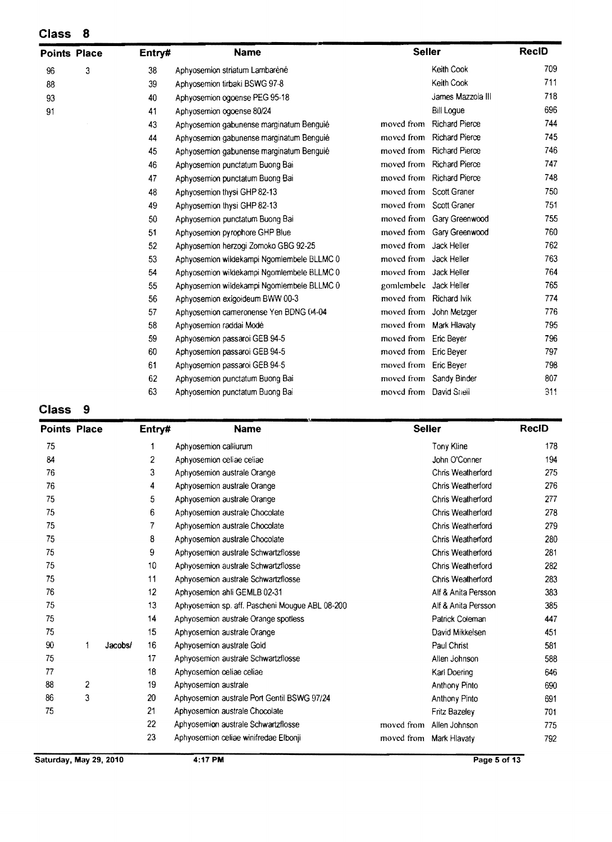| <b>Points Place</b> |   | Entry# | <b>Name</b>                                | <b>Seller</b>           |                           | <b>RecID</b> |
|---------------------|---|--------|--------------------------------------------|-------------------------|---------------------------|--------------|
| 96                  | 3 | 38     | Aphyosemion striatum Lambaréné             |                         | Keith Cook                | 709          |
| 88                  |   | 39     | Aphyosemion tirbaki BSWG 97-8              |                         | Keith Cook                | 711          |
| 93                  |   | 40     | Aphyosemion ogoense PEG 95-18              |                         | James Mazzola III         | 718          |
| 91                  |   | 41     | Aphyosemion ogoense 80/24                  |                         | <b>Bill Logue</b>         | 696          |
|                     |   | 43     | Aphyosemion gabunense marginatum Benguié   | moved from              | <b>Richard Pierce</b>     | 744          |
|                     |   | 44     | Aphyosemion gabunense marginatum Benguié   | moved from              | <b>Richard Pierce</b>     | 745          |
|                     |   | 45     | Aphyosemion gabunense marginatum Benguié   |                         | moved from Richard Pierce | 746          |
|                     |   | 46     | Aphyosemion punctatum Buong Bai            | moved from              | <b>Richard Pierce</b>     | 747          |
|                     |   | 47     | Aphyosemion punctatum Buong Bai            |                         | moved from Richard Pierce | 748          |
|                     |   | 48     | Aphyosemion thysi GHP 82-13                | moved from Scott Graner |                           | 750          |
|                     |   | 49     | Aphyosemion thysi GHP 82-13                | moved from Scott Graner |                           | 751          |
|                     |   | 50     | Aphyosemion punctatum Buong Bai            |                         | moved from Gary Greenwood | 755          |
|                     |   | 51     | Aphyosemion pyrophore GHP Blue             |                         | moved from Gary Greenwood | 760          |
|                     |   | 52     | Aphyosemion herzogi Zomoko GBG 92-25       | moved from Jack Heller  |                           | 762          |
|                     |   | 53     | Aphyosemion wildekampi Ngomlembele BLLMC 0 | moved from Jack Heller  |                           | 763          |
|                     |   | 54     | Aphyosemion wildekampi Ngomlembele BLLMC 0 | moved from Jack Heller  |                           | 764          |
|                     |   | 55     | Aphyosemion wildekampi Ngomlembele BLLMC 0 | gomlembele Jack Heller  |                           | 765          |
|                     |   | 56     | Aphyosemion exigoideum BWW 00-3            | moved from Richard Ivik |                           | 774          |
|                     |   | 57     | Aphyosemion cameronense Yen BDNG (14-04    |                         | moved from John Metzger   | 776          |
|                     |   | 58     | Aphyosemion raddai Modé                    | moved from Mark Hlavaty |                           | 795          |
|                     |   | 59     | Aphyosemion passaroi GEB 94-5              | moved from              | Eric Beyer                | 796          |
|                     |   | 60     | Aphyosemion passaroi GEB 94-5              | moved from              | Eric Bever                | 797          |
|                     |   | 61     | Aphyosemion passaroi GEB 94-5              | moved from Eric Beyer   |                           | 798          |
|                     |   | 62     | Aphyosemion punctatum Buong Bai            |                         | moved from Sandy Binder   | 807          |
|                     |   | 63     | Aphyosemion punctatum Buong Bai            | moved from David Snell  |                           | 311          |

### **Class** 9

| <b>Points Place</b> |   |         | Entry# | <b>Name</b>                                     |            | <b>Seller</b>           | <b>RecID</b> |
|---------------------|---|---------|--------|-------------------------------------------------|------------|-------------------------|--------------|
| 75                  |   |         | 1      | Aphyosemion calliurum                           |            | <b>Tony Kline</b>       | 178          |
| 84                  |   |         | 2      | Aphyosemion celiae celiae                       |            | John O'Conner           | 194          |
| 76                  |   |         | 3      | Aphyosemion australe Orange                     |            | Chris Weatherford       | 275          |
| 76                  |   |         | 4      | Aphyosemion australe Orange                     |            | Chris Weatherford       | 276          |
| 75                  |   |         | 5      | Aphyosemion australe Orange                     |            | Chris Weatherford       | 277          |
| 75                  |   |         | 6      | Aphyosemion australe Chocolate                  |            | Chris Weatherford       | 278          |
| 75                  |   |         | 7      | Aphyosemion australe Chocolate                  |            | Chris Weatherford       | 279          |
| 75                  |   |         | 8      | Aphyosemion australe Chocolate                  |            | Chris Weatherford       | 280          |
| 75                  |   |         | 9      | Aphyosemion australe Schwartzflosse             |            | Chris Weatherford       | 281          |
| 75                  |   |         | 10     | Aphyosemion australe Schwartzflosse             |            | Chris Weatherford       | 282          |
| 75                  |   |         | 11     | Aphyosemion australe Schwartzflosse             |            | Chris Weatherford       | 283          |
| 76                  |   |         | 12     | Aphyosemion ahli GEMLB 02-31                    |            | Alf & Anita Persson     | 383          |
| 75                  |   |         | 13     | Aphyosemion sp. aff. Pascheni Mougue ABL 08-200 |            | Alf & Anita Persson     | 385          |
| 75                  |   |         | 14     | Aphyosemion australe Orange spotless            |            | Patrick Coleman         | 447          |
| 75                  |   |         | 15     | Aphyosemion australe Orange                     |            | David Mikkelsen         | 451          |
| 90                  | 1 | Jacobs/ | 16     | Aphyosemion australe Gold                       |            | Paul Christ             | 581          |
| 75                  |   |         | 17     | Aphyosemion australe Schwartzflosse             |            | Allen Johnson           | 588          |
| 77                  |   |         | 18     | Aphyosemion celiae celiae                       |            | Karl Doering            | 646          |
| 88                  | 2 |         | 19     | Aphyosemion australe                            |            | Anthony Pinto           | 690          |
| 86                  | 3 |         | 20     | Aphyosemion australe Port Gentil BSWG 97/24     |            | Anthony Pinto           | 691          |
| 75                  |   |         | 21     | Aphyosemion australe Chocolate                  |            | Fritz Bazeley           | 701          |
|                     |   |         | 22     | Aphyosemion australe Schwartzflosse             | moved from | Allen Johnson           | 775          |
|                     |   |         | 23     | Aphyosemion celiae winifredae Elbonji           |            | moved from Mark Hlavaty | 792          |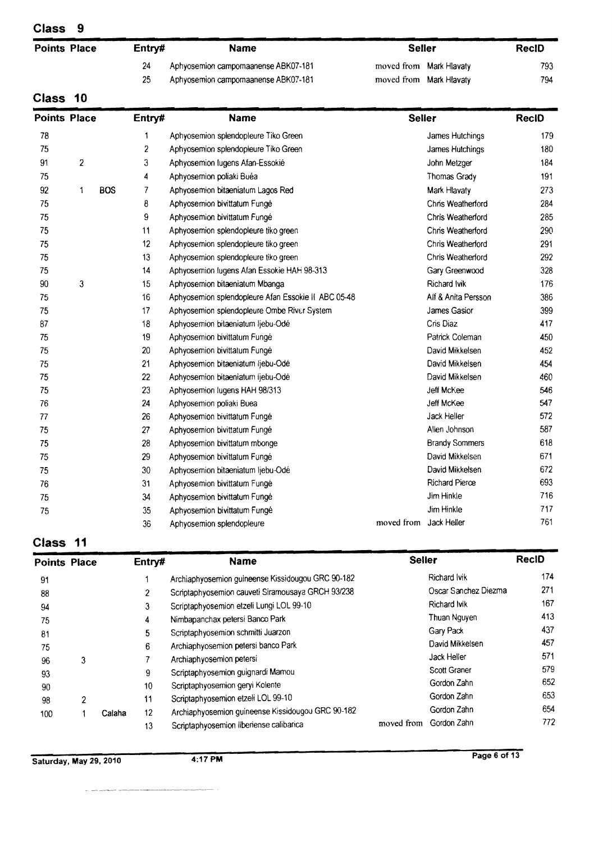| <b>Points Place</b> | Entry# | Name                                | <b>Seller</b>           | <b>RecID</b> |  |
|---------------------|--------|-------------------------------------|-------------------------|--------------|--|
|                     |        | Aphyosemion campomaanense ABK07-181 | moved from Mark Hlavaty | 793.         |  |
|                     | 25     | Aphyosemion campomaanense ABK07-181 | moved from Mark Hlavaty | 794          |  |
| Class 10            |        |                                     |                         |              |  |

## **Class 10**

| <b>Points Place</b> |   |            | Entry#         | <b>Name</b>                                         | <b>Seller</b>          |                       | <b>RecID</b> |
|---------------------|---|------------|----------------|-----------------------------------------------------|------------------------|-----------------------|--------------|
| 78                  |   |            | 1              | Aphyosemion splendopleure Tiko Green                |                        | James Hutchings       | 179          |
| 75                  |   |            | $\overline{c}$ | Aphyosemion splendopleure Tiko Green                |                        | James Hutchings       | 180          |
| 91                  | 2 |            | 3              | Aphyosemion lugens Afan-Essokié                     |                        | John Metzger          | 184          |
| 75                  |   |            | 4              | Aphyosemion poliaki Buéa                            |                        | Thomas Grady          | 191          |
| 92                  | 1 | <b>BOS</b> | 7              | Aphyosemion bitaeniatum Lagos Red                   |                        | Mark Hlavaty          | 273          |
| 75                  |   |            | 8              | Aphyosemion bivittatum Fungé                        |                        | Chris Weatherford     | 284          |
| 75                  |   |            | 9              | Aphyosemion bivittatum Fungé                        |                        | Chris Weatherford     | 285          |
| 75                  |   |            | 11             | Aphyosemion splendopleure tiko green                |                        | Chris Weatherford     | 290          |
| 75                  |   |            | 12             | Aphyosemion splendopleure tiko green                |                        | Chris Weatherford     | 291          |
| 75                  |   |            | 13             | Aphyosemion splendopleure tiko green                |                        | Chris Weatherford     | 292          |
| 75                  |   |            | 14             | Aphyosemion lugens Afan Essokie HAH 98-313          |                        | Gary Greenwood        | 328          |
| 90                  | 3 |            | 15             | Aphyosemion bitaeniatum Mbanga                      |                        | Richard Ivik          | 176          |
| 75                  |   |            | 16             | Aphyosemion splendopleure Afan Essokie II ABC 05-48 |                        | Alf & Anita Persson   | 386          |
| 75                  |   |            | 17             | Aphyosemion splendopleure Ombe River System         |                        | James Gasior          | 399          |
| 87                  |   |            | 18             | Aphyosemion bitaeniatum ljebu-Odé                   |                        | Cris Diaz             | 417          |
| 75                  |   |            | 19             | Aphyosemion bivittatum Fungé                        |                        | Patrick Coleman       | 450          |
| 75                  |   |            | 20             | Aphyosemion bivittatum Fungé                        |                        | David Mikkelsen       | 452          |
| 75                  |   |            | 21             | Aphyosemion bitaeniatum ljebu-Odé                   |                        | David Mikkelsen       | 454          |
| 75                  |   |            | 22             | Aphyosemion bitaeniatum ljebu-Odé                   |                        | David Mikkelsen       | 460          |
| 75                  |   |            | 23             | Aphyosemion lugens HAH 98/313                       |                        | Jeff McKee            | 546          |
| 76                  |   |            | 24             | Aphyosemion poliaki Buea                            |                        | Jeff McKee            | 547          |
| 77                  |   |            | 26             | Aphyosemion bivittatum Fungé                        |                        | Jack Heller           | 572          |
| 75                  |   |            | 27             | Aphyosemion bivittatum Fungé                        |                        | Alien Johnson         | 587          |
| 75                  |   |            | 28             | Aphyosemion bivittatum mbonge                       |                        | <b>Brandy Sommers</b> | 618          |
| 75                  |   |            | 29             | Aphyosemion bivittatum Fungé                        |                        | David Mikkelsen       | 671          |
| 75                  |   |            | 30             | Aphyosemion bitaeniatum ljebu-Odé                   |                        | David Mikkelsen       | 672          |
| 76                  |   |            | 31             | Aphyosemion bivittatum Fungé                        |                        | <b>Richard Pierce</b> | 693          |
| 75                  |   |            | 34             | Aphyosemion bivittatum Fungé                        |                        | Jim Hinkle            | 716          |
| 75                  |   |            | 35             | Aphyosemion bivittatum Fungé                        |                        | <b>Jim Hinkle</b>     | 717          |
|                     |   |            | 36             | Aphyosemion splendopleure                           | moved from Jack Heller |                       | 761          |

# **Class 11**

| -----               |                          |        |        |                                                   |               |                      |       |
|---------------------|--------------------------|--------|--------|---------------------------------------------------|---------------|----------------------|-------|
| <b>Points Place</b> |                          |        | Entry# | <b>Name</b>                                       | <b>Seller</b> |                      | RecID |
| 91                  |                          |        |        | Archiaphyosemion guineense Kissidougou GRC 90-182 |               | Richard Ivik         | 174   |
| 88                  |                          |        | 2      | Scriptaphyosemion cauveti Siramousaya GRCH 93/238 |               | Oscar Sanchez Diezma | 271   |
| 94                  |                          |        | 3      | Scriptaphyosemion etzeli Lungi LOL 99-10          |               | Richard Ivik         | 167   |
| 75                  |                          |        | 4      | Nimbapanchax petersi Banco Park                   |               | Thuan Nguyen         | 413   |
| 81                  |                          |        | 5      | Scriptaphyosemion schmitti Juarzon                |               | Gary Pack            | 437   |
| 75                  |                          |        | 6      | Archiaphyosemion petersi banco Park               |               | David Mikkelsen      | 457   |
| 96                  | 3                        |        |        | Archiaphyosemion petersi                          |               | Jack Heller          | 571   |
| 93                  |                          |        | 9      | Scriptaphyosemion guignardi Mamou                 |               | Scott Graner         | 579   |
| 90                  |                          |        | 10     | Scriptaphyosemion geryi Kolente                   |               | Gordon Zahn          | 652   |
| 98                  | $\overline{\phantom{a}}$ |        | 11     | Scriptaphyosemion etzeli LOL 99-10                |               | Gordon Zahn          | 653   |
| 100                 |                          | Calaha | 12     | Archiaphyosemion guineense Kissidougou GRC 90-182 |               | Gordon Zahn          | 654   |
|                     |                          |        | 13     | Scriptaphyosemion liberiense calibarica           | moved from    | Gordon Zahn          | 772   |

Page 6 of 13 Saturday. May 29. 2010 4:17 **PM**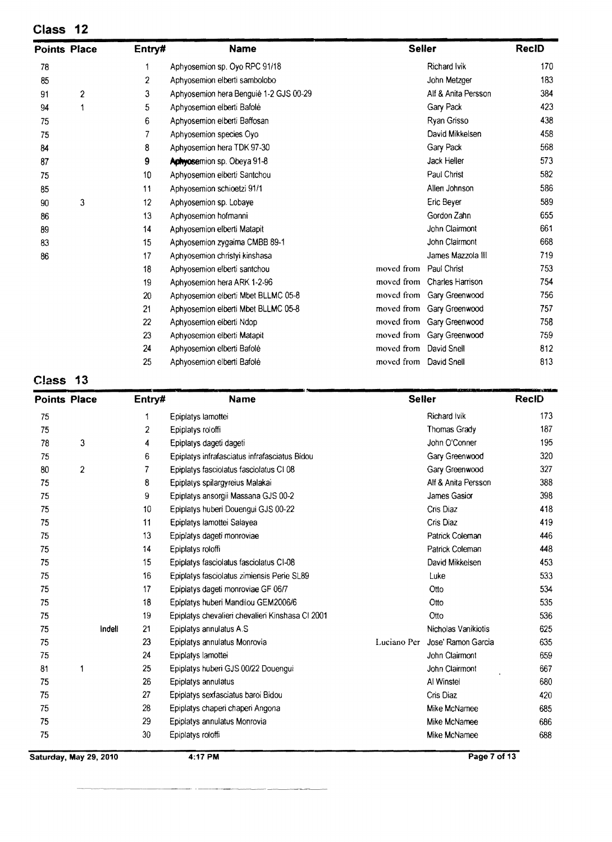| <b>Points Place</b> |                  | Entry#           | <b>Name</b>                            |                        | <b>Seller</b>               | <b>RecID</b> |
|---------------------|------------------|------------------|----------------------------------------|------------------------|-----------------------------|--------------|
| 78                  |                  | 1                | Aphyosemion sp. Oyo RPC 91/18          |                        | <b>Richard Ivik</b>         | 170          |
| 85                  |                  | $\boldsymbol{2}$ | Aphyosemion elberti sambolobo          |                        | John Metzger                | 183          |
| 91                  | $\boldsymbol{2}$ | 3                | Aphyosemion hera Benguié 1-2 GJS 00-29 |                        | Alf & Anita Persson         | 384          |
| 94                  | 1                | 5                | Aphyosemion elberti Bafolé             |                        | Gary Pack                   | 423          |
| 75                  |                  | 6                | Aphyosemion elberti Baffosan           |                        | Ryan Grisso                 | 438          |
| 75                  |                  | 7                | Aphyosemion species Oyo                |                        | David Mikkelsen             | 458          |
| 84                  |                  | 8                | Aphyosemion hera TDK 97-30             |                        | Gary Pack                   | 568          |
| 87                  |                  | 9                | Aphyosemion sp. Obeya 91-8             |                        | Jack Heller                 | 573          |
| 75                  |                  | 10               | Aphyosemion elberti Santchou           |                        | Paul Christ                 | 582          |
| 85                  |                  | 11               | Aphyosemion schioetzi 91/1             |                        | Allen Johnson               | 586          |
| 90                  | 3                | 12               | Aphyosemion sp. Lobaye                 |                        | Eric Beyer                  | 589          |
| 86                  |                  | 13               | Aphyosemion hofmanni                   |                        | Gordon Zahn                 | 655          |
| 89                  |                  | 14               | Aphyosemion elberti Matapit            |                        | John Claimont               | 661          |
| 83                  |                  | 15               | Aphyosemion zygaima CMBB 89-1          |                        | John Clairmont              | 668          |
| 86                  |                  | 17               | Aphyosemion christyi kinshasa          |                        | James Mazzola III           | 719          |
|                     |                  | 18               | Aphyosemion elberti santchou           | moved from             | Paul Christ                 | 753          |
|                     |                  | 19               | Aphyosemion hera ARK 1-2-96            |                        | moved from Charles Harrison | 754          |
|                     |                  | 20               | Aphyosemion elberti Mbet BLLMC 05-8    |                        | moved from Gary Greenwood   | 756          |
|                     |                  | 21               | Aphyosemion elberti Mbet BLLMC 05-8    |                        | moved from Gary Greenwood   | 757          |
|                     |                  | 22               | Aphyosemion elberti Ndop               |                        | moved from Gary Greenwood   | 758          |
|                     |                  | 23               | Aphyosemion elberti Matapit            |                        | moved from Gary Greenwood   | 759          |
|                     |                  | 24               | Aphyosemion elberti Bafolé             | moved from             | David Snell                 | 812          |
|                     |                  | 25               | Aphyosemion elberti Bafolé             | moved from David Snell |                             | 813          |

| <b>Points Place</b> |                | Entry# | <b>Name</b>                                      | <b>Seller</b> |                     | <b>RecID</b> |
|---------------------|----------------|--------|--------------------------------------------------|---------------|---------------------|--------------|
| 75                  |                | 1      | Epiplatys lamottei                               |               | Richard Ivik        | 173          |
| 75                  |                | 2      | Epiplatys roloffi                                |               | <b>Thomas Grady</b> | 187          |
| 78                  | 3              | 4      | Epiplatys dageti dageti                          |               | John O'Conner       | 195          |
| 75                  |                | 6      | Epiplatys infrafasciatus infrafasciatus Bidou    |               | Gary Greenwood      | 320          |
| 80                  | $\overline{2}$ | 7      | Epiplatys fasciolatus fasciolatus CI 08          |               | Gary Greenwood      | 327          |
| 75                  |                | 8      | Epiplatys spilargyreius Malakai                  |               | Alf & Anita Persson | 388          |
| 75                  |                | 9      | Epiplatys ansorgii Massana GJS 00-2              |               | James Gasior        | 398          |
| 75                  |                | 10     | Epiplatys huberi Douengui GJS 00-22              |               | Cris Diaz           | 418          |
| 75                  |                | 11     | Epiplatys lamottei Salayea                       |               | Cris Diaz           | 419          |
| 75                  |                | 13     | Epiplatys dageti monroviae                       |               | Patrick Coleman     | 446          |
| 75                  |                | 14     | Epiplatys roloffi                                |               | Patrick Coleman     | 448          |
| 75                  |                | 15     | Epiplatys fasciolatus fasciolatus CI-08          |               | David Mikkelsen     | 453          |
| 75                  |                | 16     | Epiplatys fasciolatus zimiensis Perie SL89       |               | Luke                | 533          |
| 75                  |                | 17     | Epiplatys dageti monroviae GF 06/7               |               | Otto                | 534          |
| 75                  |                | 18     | Epiplatys huberi Mandilou GEM2006/6              |               | Otto                | 535          |
| 75                  |                | 19     | Epiplatys chevalieri chevalieri Kinshasa CI 2001 |               | Otto                | 536          |
| 75                  | Indell         | 21     | Epiplatys annulatus A.S.                         |               | Nicholas Vanikiotis | 625          |
| 75                  |                | 23     | Epiplatys annulatus Monrovia                     | Luciano Per   | Jose' Ramon Garcia  | 635          |
| 75                  |                | 24     | Epiplatys lamottei                               |               | John Clairmont      | 659          |
| 81                  | 1              | 25     | Epiplatys huberi GJS 00/22 Douengui              |               | John Clairmont      | 667          |
| 75                  |                | 26     | Epiplatys annulatus                              |               | Al Winstel          | 680          |
| 75                  |                | 27     | Epiplatys sexfasciatus baroi Bidou               |               | Cris Diaz           | 420          |
| 75                  |                | 28     | Epiplatys chaperi chaperi Angona                 |               | Mike McNamee        | 685          |
| 75                  |                | 29     | Epiplatys annulatus Monrovia                     |               | Mike McNamee        | 686          |
| 75                  |                | 30     | Epiplatys roloffi                                |               | Mike McNamee        | 688          |

**Saturday, May** 29, **2010** 4:17 **PM Page 7 of 13**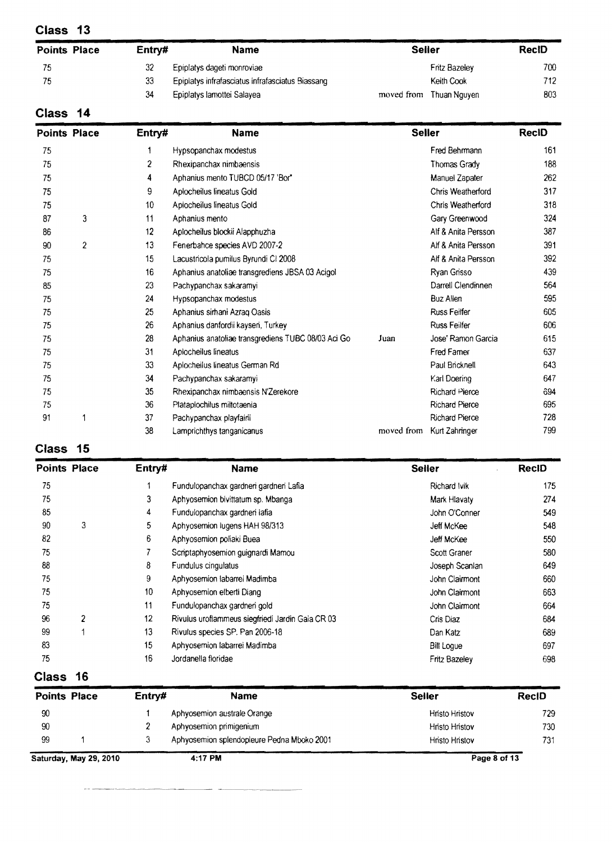| <b>Points Place</b> | Entry# | <b>Name</b>                                      | <b>Seller</b> |                      | RecID |
|---------------------|--------|--------------------------------------------------|---------------|----------------------|-------|
| 75                  | 32     | Epiplatys dageti monroviae                       |               | <b>Fritz Bazelev</b> | 700   |
| 75                  | 33     | Epiplatys infrafasciatus infrafasciatus Biassang |               | Keith Cook           | 712   |
|                     | 34     | Epiplatys lamottei Salayea                       | moved from    | Thuan Nguyen         | 803   |

# **Class 14**

| <b>Points Place</b> |                | Entry# | <b>Name</b>                                        |            | <b>Seller</b>         | <b>RecID</b> |
|---------------------|----------------|--------|----------------------------------------------------|------------|-----------------------|--------------|
| 75                  |                |        | Hypsopanchax modestus                              |            | Fred Behrmann         | 161          |
| 75                  |                | 2      | Rhexipanchax nimbaensis                            |            | Thomas Grady          | 188          |
| 75                  |                | 4      | Aphanius mento TUBCD 05/17 'Bor"                   |            | Manuel Zapater        | 262          |
| 75                  |                | 9      | Aplocheilus lineatus Gold                          |            | Chris Weatherford     | 317          |
| 75                  |                | 10     | Aplocheilus lineatus Gold                          |            | Chris Weatherford     | 318          |
| 87                  | 3              | 11     | Aphanius mento                                     |            | Gary Greenwood        | 324          |
| 86                  |                | 12     | Aplocheilus blockii Alapphuzha                     |            | Alf & Anita Persson   | 387          |
| 90                  | $\overline{2}$ | 13     | Fenerbahce species AVD 2007-2                      |            | Alf & Anita Persson   | 391          |
| 75                  |                | 15     | Lacustricola pumilus Byrundi CI 2008               |            | Alf & Anita Persson   | 392          |
| 75                  |                | 16     | Aphanius anatoliae transgrediens JBSA 03 Acigol    |            | Ryan Grisso           | 439          |
| 85                  |                | 23     | Pachypanchax sakaramyi                             |            | Darrell Clendinnen    | 564          |
| 75                  |                | 24     | Hypsopanchax modestus                              |            | <b>Buz Allen</b>      | 595          |
| 75                  |                | 25     | Aphanius sirhani Azraq Oasis                       |            | <b>Russ Feiler</b>    | 605          |
| 75                  |                | 26     | Aphanius danfordii kayseri, Turkey                 |            | <b>Russ Feilfer</b>   | 606          |
| 75                  |                | 28     | Aphanius anatoliae transgrediens TUBC 08/03 Aci Go | Juan       | Jose' Ramon Garcia    | 615          |
| 75                  |                | 31     | Aplocheilus lineatus                               |            | <b>Fred Famer</b>     | 637          |
| 75                  |                | 33     | Aplocheilus lineatus German Rd                     |            | Paul Bricknell        | 643          |
| 75                  |                | 34     | Pachypanchax sakaramyi                             |            | Karl Doering          | 647          |
| 75                  |                | 35     | Rhexipanchax nimbaensis N'Zerekore                 |            | Richard Pierce        | 694          |
| 75                  |                | 36     | Plataplochilus miltotaenia                         |            | <b>Richard Pierce</b> | 695          |
| 91                  | 1              | 37     | Pachypanchax playfairii                            |            | <b>Richard Pierce</b> | 728          |
|                     |                | 38     | Lamprichthys tanganicanus                          | moved from | Kurt Zahringer        | 799          |

# **Class 15**

| <b>Points Place</b> |   | Entry# | <b>Name</b>                                      | <b>Seller</b>        | <b>RecID</b> |
|---------------------|---|--------|--------------------------------------------------|----------------------|--------------|
| 75                  |   |        | Fundulopanchax gardneri gardneri Lafia           | <b>Richard Ivik</b>  | 175          |
| 75                  |   | 3      | Aphyosemion bivittatum sp. Mbanga                | Mark Hlavaty         | 274          |
| 85                  |   | 4      | Fundulopanchax gardneri lafia                    | John O'Conner        | 549          |
| 90                  | 3 | 5      | Aphyosemion lugens HAH 98/313                    | Jeff McKee           | 548          |
| 82                  |   | 6      | Aphyosemion poliaki Buea                         | Jeff McKee           | 550          |
| 75                  |   |        | Scriptaphyosemion guignardi Mamou                | Scott Graner         | 580          |
| 88                  |   | 8      | Fundulus cingulatus                              | Joseph Scanlan       | 649          |
| 75                  |   | 9      | Aphyosemion labarrei Madimba                     | John Clairmont       | 660          |
| 75                  |   | 10     | Aphyosemion elberti Diang                        | John Clairmont       | 663          |
| 75                  |   | 11     | Fundulopanchax gardnen gold                      | John Clairmont       | 664          |
| 96                  | 2 | 12     | Rivulus uroflammeus siegfriedi Jardin Gaia CR 03 | Cris Diaz            | 684          |
| 99                  |   | 13     | Rivulus species SP. Pan 2006-18                  | Dan Katz             | 689          |
| 83                  |   | 15     | Aphyosemion labarrei Madimba                     | <b>Bill Logue</b>    | 697          |
| 75                  |   | 16     | Jordanella floridae                              | <b>Fritz Bazelev</b> | 698          |

# **Class 16**

----~.

|    | <b>Points Place</b>    | Entry# | <b>Name</b>                                | <b>Seller</b>         | <b>RecID</b> |
|----|------------------------|--------|--------------------------------------------|-----------------------|--------------|
| 90 |                        |        | Aphyosemion australe Orange                | <b>Hristo Hristov</b> | 729          |
| 90 |                        |        | Aphyosemion primigenium                    | Hristo Hristov        | 730          |
| 99 |                        | 3      | Aphyosemion splendopleure Pedna Mboko 2001 | <b>Hnsto Hnstov</b>   | 731          |
|    | Saturday, May 29, 2010 |        | 4:17 PM                                    |                       | Page 8 of 13 |

 $\mathbf{r}$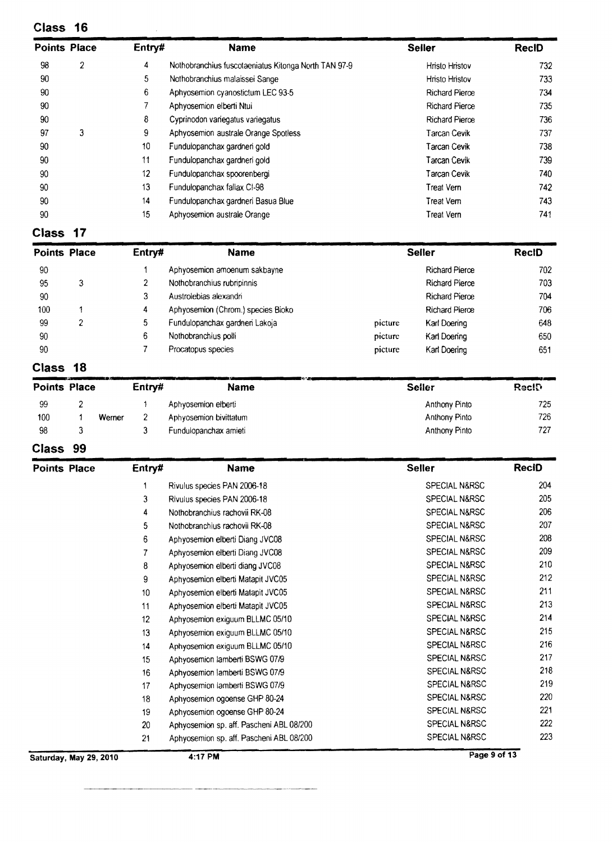| Class 16            |   |                 |                                                      |                       |              |
|---------------------|---|-----------------|------------------------------------------------------|-----------------------|--------------|
| <b>Points Place</b> |   | Entry#          | <b>Name</b>                                          | <b>Seiler</b>         | <b>RecID</b> |
| 98                  | 2 | 4               | Nothobranchius fuscotaeniatus Kitonga North TAN 97-9 | Hristo Hristov        | 732          |
| 90                  |   | 5.              | Nothobranchius malaissei Sange                       | Hristo Hristov        | 733          |
| 90                  |   | 6               | Aphyosemion cyanostictum LEC 93-5                    | <b>Richard Pierce</b> | 734          |
| 90                  |   |                 | Aphyosemion elberti Ntui                             | <b>Richard Pierce</b> | 735          |
| 90                  |   | 8               | Cyprinodon variegatus variegatus                     | <b>Richard Pierce</b> | 736          |
| 97                  | 3 | 9               | Aphyosemion australe Orange Spotless                 | <b>Tarcan Cevik</b>   | 737          |
| 90                  |   | 10 <sup>°</sup> | Fundulopanchax gardnen gold                          | <b>Tarcan Cevik</b>   | 738          |
| 90                  |   | 11              | Fundulopanchax gardneri gold                         | Tarcan Cevik          | 739          |
| 90                  |   | 12 <sup>2</sup> | Fundulopanchax spoorenbergi                          | Tarcan Cevik          | 740          |
| 90                  |   | 13              | Fundulopanchax fallax CI-98                          | Treat Vern            | 742.         |
| 90                  |   | 14              | Fundulopanchax gardneri Basua Blue                   | Treat Vern            | 743          |
| 90                  |   | 15              | Aphyosemion australe Orange                          | Treat Vern            | 741          |

# **Class 17**

| <b>Points Place</b> |   | Entry# | <b>Name</b>                        |         | <b>Seiler</b>         | <b>RecID</b> |
|---------------------|---|--------|------------------------------------|---------|-----------------------|--------------|
| 90                  |   |        | Aphyosemion amoenum sakbayne       |         | <b>Richard Pierce</b> | 702          |
| 95                  | 3 |        | Nothobranchius rubripinnis         |         | <b>Richard Pierce</b> | 703          |
| 90                  |   |        | Austrolebias alexandri             |         | <b>Richard Pierce</b> | 704          |
| 100                 |   | 4      | Aphyosemion (Chrom.) species Bioko |         | <b>Richard Pierce</b> | 706          |
| 99                  | ົ | 5      | Fundulopanchax gardnen Lakoja      | picture | Karl Doering          | 648          |
| 90                  |   | 6      | Nothobranchius polli               | picture | Karl Doening          | 650          |
| 90                  |   |        | Procatopus species                 | picture | Karl Doering          | 651          |

# **Class 18**

| -18<br><b>Class</b> |  |        |        |                        |                      |              |  |  |
|---------------------|--|--------|--------|------------------------|----------------------|--------------|--|--|
| <b>Points Place</b> |  |        | Entry# | <b>Name</b>            | <b>Seller</b>        | <b>RecID</b> |  |  |
| 99                  |  |        |        | Aphyosemion elberti    | Anthony Pinto        | 725          |  |  |
| 100                 |  | Werner | 2      | Aphyosemion bivittatum | <b>Anthony Pinto</b> | 726          |  |  |
| 98                  |  |        |        | Fundulopanchax amieti  | <b>Anthony Pinto</b> | 727          |  |  |

### **Class 99**

-----,-----~

| <b>Points Place</b>    | Entry# | <b>Name</b>                              | <b>Seller</b>            | <b>ReciD</b> |
|------------------------|--------|------------------------------------------|--------------------------|--------------|
|                        | 1      | Rivulus species PAN 2006-18              | SPECIAL N&RSC            | 204          |
|                        | 3      | Rivulus species PAN 2006-18              | <b>SPECIAL N&amp;RSC</b> | 205          |
|                        | 4      | Nothobranchius rachovii RK-08            | <b>SPECIAL N&amp;RSC</b> | 206          |
|                        | 5      | Nothobranchius rachovii RK-08            | SPECIAL N&RSC            | 207          |
|                        | 6      | Aphyosemion elberti Diang JVC08          | SPECIAL N&RSC            | 208          |
|                        | 7      | Aphyosemion elberti Diang JVC08          | <b>SPECIAL N&amp;RSC</b> | 209          |
|                        | 8      | Aphyosemion elberti diang JVC08          | SPECIAL N&RSC            | 210          |
|                        | 9      | Aphyosemion elberti Matapit JVC05        | SPECIAL N&RSC            | 212          |
|                        | 10     | Aphyosemion elberti Matapit JVC05        | SPECIAL N&RSC            | 211          |
|                        | 11     | Aphyosemion elberti Matapit JVC05        | <b>SPECIAL N&amp;RSC</b> | 213          |
|                        | 12     | Aphyosemion exiguum BLLMC 05/10          | <b>SPECIAL N&amp;RSC</b> | 214          |
|                        | 13     | Aphyosemion exiguum BLLMC 05/10          | <b>SPECIAL N&amp;RSC</b> | 215          |
|                        | 14     | Aphyosemion exiguum BLLMC 05/10          | <b>SPECIAL N&amp;RSC</b> | 216          |
|                        | 15     | Aphyosemion lamberti BSWG 07/9           | <b>SPECIAL N&amp;RSC</b> | 217          |
|                        | 16     | Aphyosemion lamberti BSWG 07/9           | SPECIAL N&RSC            | 218          |
|                        | 17     | Aphyosemion lamberti BSWG 07/9           | SPECIAL N&RSC            | 219          |
|                        | 18     | Aphyosemion ogoense GHP 80-24            | SPECIAL N&RSC            | 220          |
|                        | 19     | Aphyosemion ogoense GHP 80-24            | <b>SPECIAL N&amp;RSC</b> | 221          |
|                        | 20     | Aphyosemion sp. aff. Pascheni ABL 08/200 | SPECIAL N&RSC            | 222          |
|                        | 21     | Aphyosemion sp. aff. Pascheni ABL 08/200 | SPECIAL N&RSC            | 223          |
| Saturday, May 29, 2010 |        | 4:17 PM                                  | Page 9 of 13             |              |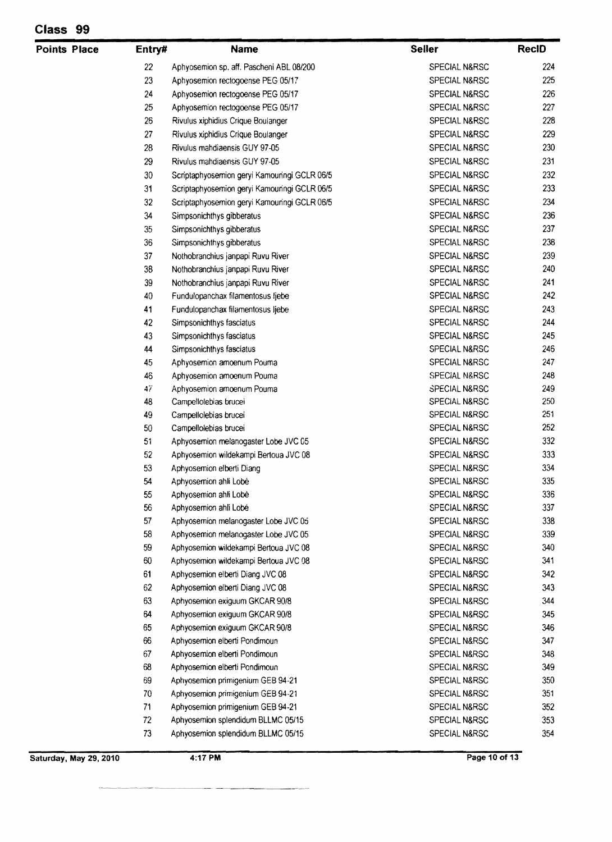| Class<br>99 |  |
|-------------|--|
|-------------|--|

| <b>Points Place</b> | Entry#   | <b>Name</b>                                                              | <b>Seller</b>                  | <b>RecID</b> |
|---------------------|----------|--------------------------------------------------------------------------|--------------------------------|--------------|
|                     | 22       | Aphyosemion sp. aff. Pascheni ABL 08/200                                 | SPECIAL N&RSC                  | 224          |
|                     | 23       | Aphyosemion rectogoense PEG 05/17                                        | SPECIAL N&RSC                  | 225          |
|                     | 24       | Aphyosemion rectogoense PEG 05/17                                        | SPECIAL N&RSC                  | 226          |
|                     | 25       | Aphyosemion rectogoense PEG 05/17                                        | SPECIAL N&RSC                  | 227          |
|                     | 26       | Rivulus xiphidius Crique Boulanger                                       | SPECIAL N&RSC                  | 228          |
|                     | 27       | Rivulus xiphidius Crique Boulanger                                       | SPECIAL N&RSC                  | 229          |
|                     | 28       | Rivulus mahdiaensis GUY 97-05                                            | SPECIAL N&RSC                  | 230          |
|                     | 29       | Rivulus mandiaensis GUY 97-05                                            | SPECIAL N&RSC                  | 231          |
|                     | 30       | Scriptaphyosemion geryi Kamouringi GCLR 06/5                             | SPECIAL N&RSC                  | 232          |
|                     | 31       | Scriptaphyosemion geryi Kamouringi GCLR 06/5                             | SPECIAL N&RSC                  | 233          |
|                     | 32       | Scriptaphyosemion geryi Kamouringi GCLR 06/5                             | SPECIAL N&RSC                  | 234          |
|                     | 34       | Simpsonichthys gibberatus                                                | SPECIAL N&RSC                  | 236          |
|                     | 35       | Simpsonichthys gibberatus                                                | SPECIAL N&RSC                  | 237          |
|                     | 36       | Simpsonichthys gibberatus                                                | SPECIAL N&RSC                  | 238          |
|                     | 37       | Nothobranchius janpapi Ruvu River                                        | <b>SPECIAL N&amp;RSC</b>       | 239          |
|                     | 38       | Nothobranchius janpapi Ruvu River                                        | SPECIAL N&RSC                  | 240          |
|                     | 39       | Nothobranchius janpapi Ruvu River                                        | SPECIAL N&RSC                  | 241          |
|                     | 40       | Fundulopanchax filamentosus ljebe                                        | SPECIAL N&RSC                  | 242          |
|                     | 41       | Fundulopanchax filamentosus ljebe                                        | SPECIAL N&RSC                  | 243          |
|                     | 42       | Simpsonichthys fasciatus                                                 | SPECIAL N&RSC                  | 244          |
|                     | 43       | Simpsonichthys fasciatus                                                 | SPECIAL N&RSC                  | 245          |
|                     | 44       | Simpsonichthys fasciatus                                                 | SPECIAL N&RSC                  | 246          |
|                     | 45       | Aphyosemion amoenum Pouma                                                | SPECIAL N&RSC                  | 247          |
|                     | 46       | Aphyosemion amoenum Pouma                                                | SPECIAL N&RSC                  | 248          |
|                     | 47       | Aphyosemion amoenum Pouma                                                | SPECIAL N&RSC                  | 249          |
|                     | 48       | Campellolebias brucei                                                    | SPECIAL N&RSC                  | 250          |
|                     | 49       | Campellolebias brucei                                                    | SPECIAL N&RSC                  | 251          |
|                     | 50       | Campellolebias brucei                                                    | SPECIAL N&RSC                  | 252          |
|                     | 51       | Aphyosemion melanogaster Lobe JVC 05                                     | SPECIAL N&RSC                  | 332          |
|                     | 52       | Aphyosemion wildekampi Bertoua JVC 08                                    | SPECIAL N&RSC                  | 333          |
|                     | 53       | Aphyosemion elberti Diang                                                | SPECIAL N&RSC                  | 334          |
|                     | 54       | Aphyosemion ahli Lobé                                                    | SPECIAL N&RSC                  | 335          |
|                     | 55       | Aphyosemion ahli Lobé                                                    | SPECIAL N&RSC                  | 336          |
|                     | 56       | Aphyosemion ahli Lobé                                                    | SPECIAL N&RSC                  | 337          |
|                     | 57       | Aphyosemion melanogaster Lobe JVC 05                                     | SPECIAL N&RSC                  | 338          |
|                     | 58       | Aphyosemion melanogaster Lobe JVC 05                                     | SPECIAL N&RSC                  | 339          |
|                     | 59       | Aphyosemion wildekampi Bertoua JVC 08                                    | <b>SPECIAL N&amp;RSC</b>       | 340          |
|                     | 60       | Aphyosemion wildekampi Bertoua JVC 08                                    | SPECIAL N&RSC                  | 341          |
|                     | 61       | Aphyosemion elberti Diang JVC 08                                         | SPECIAL N&RSC                  | 342          |
|                     | 62       | Aphyosemion elberti Diang JVC 08                                         | SPECIAL N&RSC                  | 343          |
|                     | 63       | Aphyosemion exiguum GKCAR 90/8                                           | SPECIAL N&RSC                  | 344          |
|                     | 64       | Aphyosemion exiguum GKCAR 90/8                                           | SPECIAL N&RSC                  | 345          |
|                     | 65       | Aphyosemion exiguum GKCAR 90/8                                           | <b>SPECIAL N&amp;RSC</b>       | 346          |
|                     | 66       | Aphyosemion elberti Pondimoun                                            | SPECIAL N&RSC                  | 347          |
|                     | 67       | Aphyosemion elberti Pondimoun                                            | SPECIAL N&RSC                  | 348          |
|                     | 68       | Aphyosemion elberti Pondimoun                                            | SPECIAL N&RSC                  | 349          |
|                     | 69       | Aphyosemion primigenium GEB 94-21                                        | SPECIAL N&RSC                  | 350          |
|                     | 70       | Aphyosemion primigenium GEB 94-21                                        | SPECIAL N&RSC                  | 351          |
|                     | 71       | Aphyosemion primigenium GEB 94-21                                        | SPECIAL N&RSC                  | 352          |
|                     |          |                                                                          |                                | 353          |
|                     |          |                                                                          |                                | 354          |
|                     | 72<br>73 | Aphyosemion splendidum BLLMC 05/15<br>Aphyosemion splendidum BLLMC 05/15 | SPECIAL N&RSC<br>SPECIAL N&RSC |              |

---~~

Saturday, May 29, 2010 **4:17 PM** 

an ana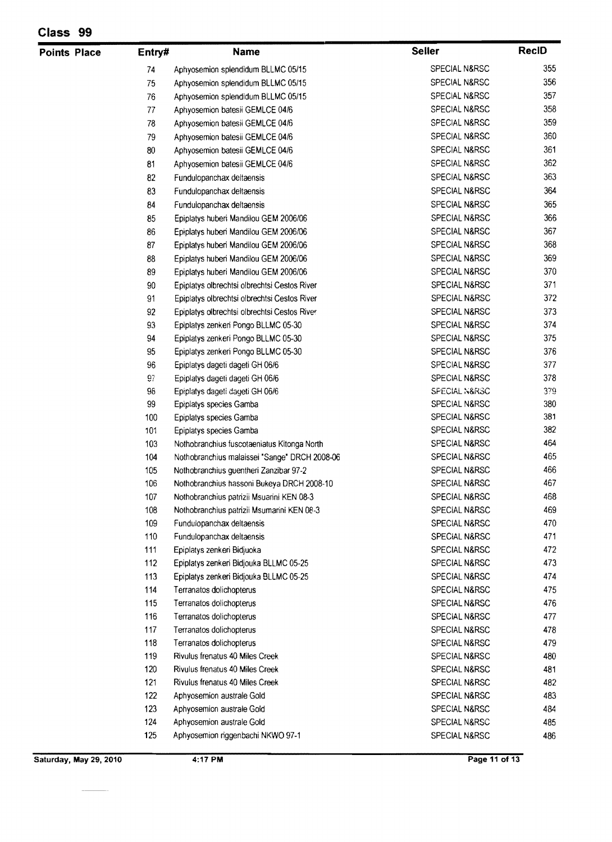| <b>Points Place</b> | Entry# | <b>Name</b>                                   | <b>Seller</b>            | <b>RecID</b> |
|---------------------|--------|-----------------------------------------------|--------------------------|--------------|
|                     | 74     | Aphyosemion splendidum BLLMC 05/15            | <b>SPECIAL N&amp;RSC</b> | 355          |
|                     | 75     | Aphyosemion splendidum BLLMC 05/15            | SPECIAL N&RSC            | 356          |
|                     | 76     | Aphyosemion splendidum BLLMC 05/15            | SPECIAL N&RSC            | 357          |
|                     | 77     | Aphyosemion batesii GEMLCE 04/6               | SPECIAL N&RSC            | 358          |
|                     | 78     | Aphyosemion batesii GEMLCE 04/6               | SPECIAL N&RSC            | 359          |
|                     | 79     | Aphyosemion batesii GEMLCE 04/6               | SPECIAL N&RSC            | 360          |
|                     | 80     | Aphyosemion batesii GEMLCE 04/6               | SPECIAL N&RSC            | 361          |
|                     | 81     | Aphyosemion batesii GEMLCE 04/6               | SPECIAL N&RSC            | 362          |
|                     | 82     | Fundulopanchax deltaensis                     | SPECIAL N&RSC            | 363          |
|                     | 83     | Fundulopanchax deltaensis                     | SPECIAL N&RSC            | 364          |
|                     | 84     | Fundulopanchax deltaensis                     | SPECIAL N&RSC            | 365          |
|                     | 85     | Epiplatys huberi Mandilou GEM 2006/06         | SPECIAL N&RSC            | 366          |
|                     | 86     | Epiplatys huberi Mandilou GEM 2006/06         | SPECIAL N&RSC            | 367          |
|                     | 87     | Epiplatys huberi Mandilou GEM 2006/06         | SPECIAL N&RSC            | 368          |
|                     | 88     | Epiplatys huberi Mandilou GEM 2006/06         | SPECIAL N&RSC            | 369          |
|                     | 89     | Epiplatys huberi Mandilou GEM 2006/06         | <b>SPECIAL N&amp;RSC</b> | 370          |
|                     | 90     | Epiplatys olbrechtsi olbrechtsi Cestos River  | SPECIAL N&RSC            | 371          |
|                     | 91     | Epiplatys olbrechtsi olbrechtsi Cestos River  | SPECIAL N&RSC            | 372          |
|                     | 92     | Epiplatys olbrechtsi olbrechtsi Cestos River  | SPECIAL N&RSC            | 373          |
|                     | 93     | Epiplatys zenkeri Pongo BLLMC 05-30           | SPECIAL N&RSC            | 374          |
|                     | 94     | Epiplatys zenkeri Pongo BLLMC 05-30           | SPECIAL N&RSC            | 375          |
|                     | 95     | Epiplatys zenkeri Pongo BLLMC 05-30           | SPECIAL N&RSC            | 376          |
|                     | 96     | Epiplatys dageti dageti GH 06/6               | SPECIAL N&RSC            | 377          |
|                     | 97     | Epiplatys dageti dageti GH 06/6               | SPECIAL N&RSC            | 378          |
|                     | 98     | Epiplatys dageti dageti GH 06/6               | SPECIAL N&RSC            | 379          |
|                     | 99     | Epiplatys species Gamba                       | SPECIAL N&RSC            | 380          |
|                     | 100    | Epiplatys species Gamba                       | SPECIAL N&RSC            | 381          |
|                     | 101    | Epiplatys species Gamba                       | SPECIAL N&RSC            | 382          |
|                     | 103    | Nothobranchius fuscotaeniatus Kitonga North   | SPECIAL N&RSC            | 464          |
|                     | 104    | Nothobranchius malaissei "Sange" DRCH 2008-06 | SPECIAL N&RSC            | 465          |
|                     | 105    | Nothobranchius guentheri Zanzibar 97-2        | SPECIAL N&RSC            | 466          |
|                     | 106    | Nothobranchius hassoni Bukeya DRCH 2008-10    | SPECIAL N&RSC            | 467          |
|                     | 107    | Nothobranchius patrizii Msuarini KEN 08-3     | SPECIAL N&RSC            | 468          |
|                     | 108    | Nothobranchius patrizii Msumarini KEN 08-3    | SPECIAL N&RSC            | 469          |
|                     | 109    | Fundulopanchax deltaensis                     | SPECIAL N&RSC            | 470          |
|                     | 110    | Fundulopanchax deltaensis                     | SPECIAL N&RSC            | 471          |
|                     | 111    | Epiplatys zenkeri Bidjuoka                    | SPECIAL N&RSC            | 472          |
|                     | 112    | Epiplatys zenkeri Bidjouka BLLMC 05-25        | SPECIAL N&RSC            | 473          |
|                     | 113    | Epiplatys zenkeri Bidjouka BLLMC 05-25        | SPECIAL N&RSC            | 474          |
|                     | 114    | Terranatos dolichopterus                      | SPECIAL N&RSC            | 475          |
|                     | 115    | Terranatos dolichopterus                      | SPECIAL N&RSC            | 476          |
|                     | 116    | Terranatos dolichopterus                      | SPECIAL N&RSC            | 477          |
|                     | 117    | Terranatos dolichopterus                      | SPECIAL N&RSC            | 478          |
|                     | 118    | Terranatos dolichopterus                      | SPECIAL N&RSC            | 479          |
|                     | 119    | Rivulus frenatus 40 Miles Creek               | <b>SPECIAL N&amp;RSC</b> | 480          |
|                     | 120    | Rivulus frenatus 40 Miles Creek               | SPECIAL N&RSC            | 481          |
|                     | 121    | Rivulus frenatus 40 Miles Creek               | SPECIAL N&RSC            | 482          |
|                     | 122    | Aphyosemion australe Gold                     | SPECIAL N&RSC            | 483          |
|                     | 123    | Aphyosemion australe Gold                     | SPECIAL N&RSC            | 484          |
|                     | 124    | Aphyosemion australe Gold                     | SPECIAL N&RSC            | 485          |
|                     | 125    | Aphyosemion riggenbachi NKWO 97-1             | SPECIAL N&RSC            | 486          |

 $\sim$ 

.<br>...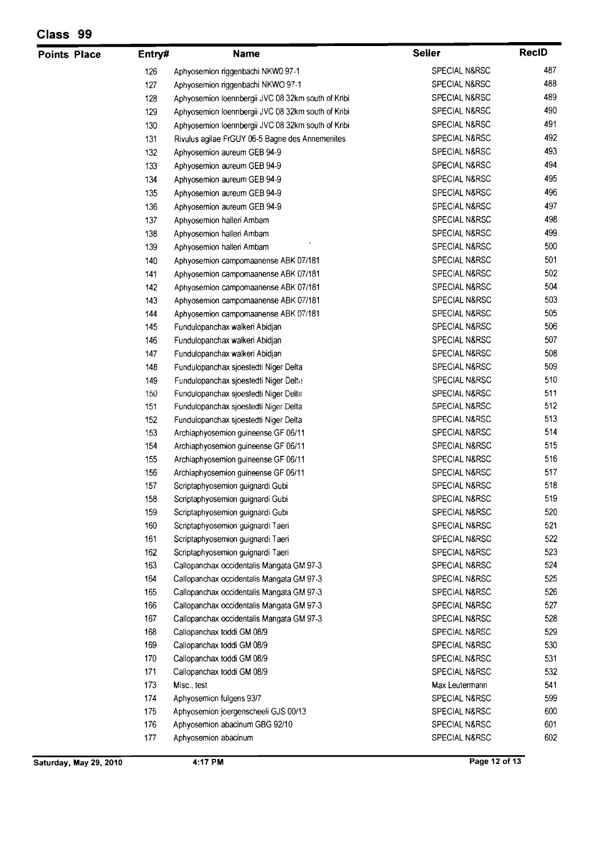| <b>Points Place</b> | Entry# | <b>Name</b>                                        | <b>Seller</b>            | <b>RecID</b> |
|---------------------|--------|----------------------------------------------------|--------------------------|--------------|
|                     | 126    | Aphyosemion riggenbachi NKW0 97-1                  | <b>SPECIAL N&amp;RSC</b> | 487          |
|                     | 127    | Aphyosemion riggenbachi NKWO 97-1                  | <b>SPECIAL N&amp;RSC</b> | 488          |
|                     | 128    | Aphyosemion loennbergii JVC 08 32km south of Kribi | SPECIAL N&RSC            | 489          |
|                     | 129    | Aphyosemion loennbergii JVC 08 32km south of Kribi | <b>SPECIAL N&amp;RSC</b> | 490          |
|                     | 130    | Aphyosemion loennbergii JVC 08 32km south of Kribi | <b>SPECIAL N&amp;RSC</b> | 491          |
|                     | 131    | Rivulus agilae FrGUY 06-5 Bagne des Annemenites    | SPECIAL N&RSC            | 492          |
|                     | 132    | Aphyosemion aureum GEB 94-9                        | <b>SPECIAL N&amp;RSC</b> | 493          |
|                     | 133    | Aphyosemion aureum GEB 94-9                        | SPECIAL N&RSC            | 494          |
|                     | 134    | Aphyosemion aureum GEB 94-9                        | <b>SPECIAL N&amp;RSC</b> | 495          |
|                     | 135    | Aphyosemion aureum GEB 94-9                        | SPECIAL N&RSC            | 496          |
|                     | 136    | Aphyosemion aureum GEB 94-9                        | SPECIAL N&RSC            | 497          |
|                     | 137    | Aphyosemion halleri Ambam                          | SPECIAL N&RSC            | 498          |
|                     | 138    | Aphyosemion halleri Ambam                          | <b>SPECIAL N&amp;RSC</b> | 499          |
|                     | 139    | Aphyosemion halleri Ambam                          | SPECIAL N&RSC            | 500          |
|                     | 140    | Aphyosemion campomaanense ABK 07/181               | SPECIAL N&RSC            | 501          |
|                     | 141    | Aphyosemion campomaanense ABK 07/181               | SPECIAL N&RSC            | 502          |
|                     | 142    | Aphyosemion campomaanense ABK 07/181               | SPECIAL N&RSC            | 504          |
|                     | 143    | Aphyosemion campomaanense ABK 07/181               | SPECIAL N&RSC            | 503          |
|                     | 144    | Aphyosemion campomaanense ABK 07/181               | SPECIAL N&RSC            | 505          |
|                     | 145    | Fundulopanchax walken Abidjan                      | SPECIAL N&RSC            | 506          |
|                     | 146    | Fundulopanchax walken Abidjan                      | SPECIAL N&RSC            | 507          |
|                     | 147    | Fundulopanchax walkeri Abidjan                     | SPECIAL N&RSC            | 508          |
|                     | 148    | Fundulopanchax sjoestedti Niger Delta              | SPECIAL N&RSC            | 509          |
|                     | 149    | Fundulopanchax sjoestedti Niger Delta              | SPECIAL N&RSC            | 510          |
|                     | 150    | Fundulopanchax sjoestedti Niger Delta              | SPECIAL N&RSC            | 511          |
|                     | 151    | Fundulopanchax sjoestedti Niger Delta              | SPECIAL N&RSC            | 512          |
|                     | 152    | Fundulopanchax sjoestedti Niger Delta              | SPECIAL N&RSC            | 513          |
|                     | 153    | Archiaphyosemion guineense GF 06/11                | SPECIAL N&RSC            | 514          |
|                     | 154    | Archiaphyosemion guineense GF 06/11                | SPECIAL N&RSC            | 515          |
|                     | 155    | Archiaphyosemion guineense GF 06/11                | SPECIAL N&RSC            | 516          |
|                     | 156    | Archiaphyosemion guineense GF 06/11                | SPECIAL N&RSC            | 517          |
|                     | 157    | Scriptaphyosemion guignardi Gubi                   | SPECIAL N&RSC            | 518          |
|                     | 158    | Scriptaphyosemion guignardi Gubi                   | SPECIAL N&RSC            | 519          |
|                     | 159    | Scriptaphyosemion guignardi Gubi                   | SPECIAL N&RSC            | 520          |
|                     | 160    | Scriptaphyosemion guignardi Taeri                  | SPECIAL N&RSC            | 521          |
|                     | 161    | Scriptaphyosemion guignardi Taeri                  | SPECIAL N&RSC            | 522          |
|                     | 162    | Scriptaphyosemion guignardi Taeri                  | SPECIAL N&RSC            | 523          |
|                     | 163    | Callopanchax occidentalis Mangata GM 97-3          | SPECIAL N&RSC            | 524          |
|                     | 164    | Callopanchax occidentalis Mangata GM 97-3          | SPECIAL N&RSC            | 525          |
|                     | 165    | Callopanchax occidentalis Mangata GM 97-3          | SPECIAL N&RSC            | 526          |
|                     | 166    | Callopanchax occidentalis Mangata GM 97-3          | <b>SPECIAL N&amp;RSC</b> | 527          |
|                     | 167    | Callopanchax occidentalis Mangata GM 97-3          | SPECIAL N&RSC            | 528          |
|                     | 168    | Callopanchax toddi GM 08/9                         | SPECIAL N&RSC            | 529          |
|                     | 169    | Callopanchax toddi GM 08/9                         | SPECIAL N&RSC            | 530          |
|                     | 170    | Callopanchax toddi GM 08/9                         | SPECIAL N&RSC            | 531          |
|                     | 171    | Callopanchax toddi GM 08/9                         | SPECIAL N&RSC            | 532          |
|                     | 173    | Misc., test                                        | Max Leutermann           | 541          |
|                     | 174    | Aphyosemion fulgens 93/7                           | SPECIAL N&RSC            | 599          |
|                     | 175    | Aphyosemion joergenscheeli GJS 00/13               | SPECIAL N&RSC            | 600          |
|                     | 176    | Aphyosemion abacinum GBG 92/10                     | SPECIAL N&RSC            | 601          |
|                     | 177    | Aphyosemion abacinum                               | SPECIAL N&RSC            | 602          |